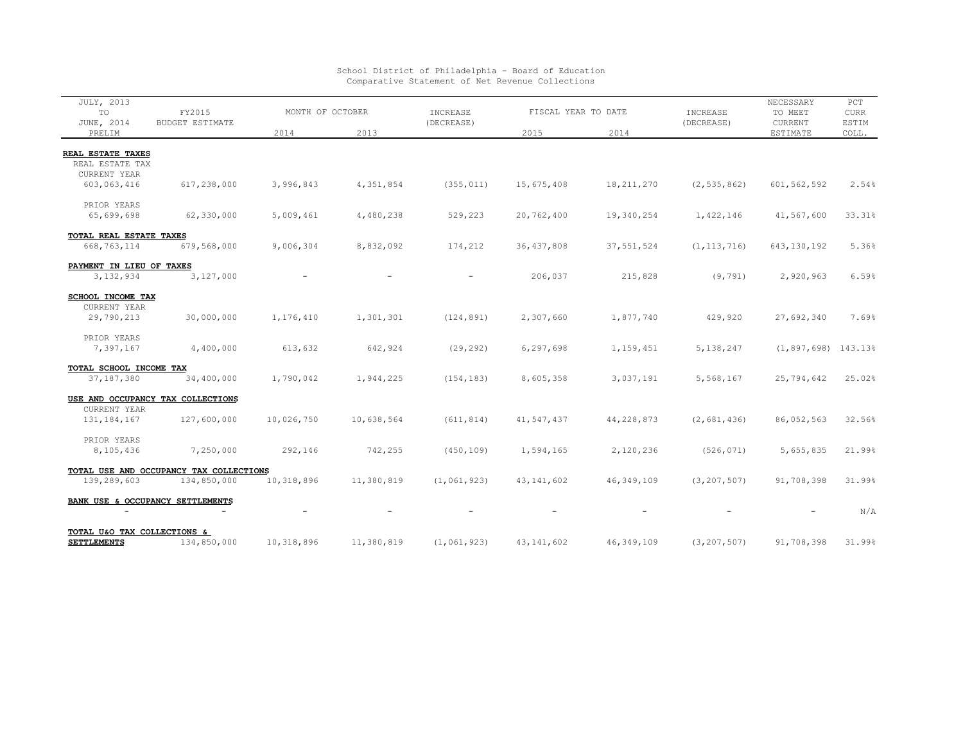| JULY, 2013<br>TO            | FY2015<br><b>BUDGET ESTIMATE</b>        | MONTH OF OCTOBER |            | INCREASE      | FISCAL YEAR TO DATE |              | INCREASE      | NECESSARY<br>TO MEET    | $_{\rm PCT}$<br><b>CURR</b> |
|-----------------------------|-----------------------------------------|------------------|------------|---------------|---------------------|--------------|---------------|-------------------------|-----------------------------|
| JUNE, 2014<br>PRELIM        |                                         | 2014             | 2013       | (DECREASE)    | 2015                | 2014         | (DECREASE)    | CURRENT<br>ESTIMATE     | ESTIM<br>COLL.              |
|                             |                                         |                  |            |               |                     |              |               |                         |                             |
| <b>REAL ESTATE TAXES</b>    |                                         |                  |            |               |                     |              |               |                         |                             |
| REAL ESTATE TAX             |                                         |                  |            |               |                     |              |               |                         |                             |
| CURRENT YEAR                |                                         |                  |            |               |                     |              |               |                         |                             |
| 603,063,416                 | 617,238,000                             | 3,996,843        | 4,351,854  | (355, 011)    | 15,675,408          | 18, 211, 270 | (2, 535, 862) | 601, 562, 592           | 2.54%                       |
| PRIOR YEARS                 |                                         |                  |            |               |                     |              |               |                         |                             |
| 65,699,698                  | 62,330,000                              | 5,009,461        | 4,480,238  | 529,223       | 20,762,400          | 19,340,254   | 1,422,146     | 41,567,600              | 33.31%                      |
| TOTAL REAL ESTATE TAXES     |                                         |                  |            |               |                     |              |               |                         |                             |
| 668,763,114                 | 679,568,000                             | 9,006,304        | 8,832,092  | 174,212       | 36, 437, 808        | 37, 551, 524 | (1, 113, 716) | 643, 130, 192           | 5.36%                       |
| PAYMENT IN LIEU OF TAXES    |                                         |                  |            |               |                     |              |               |                         |                             |
| 3,132,934                   | 3,127,000                               |                  |            |               | 206,037             | 215,828      | (9, 791)      | 2,920,963               | 6.59%                       |
| SCHOOL INCOME TAX           |                                         |                  |            |               |                     |              |               |                         |                             |
| CURRENT YEAR                |                                         |                  |            |               |                     |              |               |                         |                             |
| 29,790,213                  | 30,000,000                              | 1,176,410        | 1,301,301  | (124, 891)    | 2,307,660           | 1,877,740    | 429,920       | 27,692,340              | 7.69%                       |
| PRIOR YEARS                 |                                         |                  |            |               |                     |              |               |                         |                             |
| 7,397,167                   | 4,400,000                               | 613,632          | 642,924    | (29, 292)     | 6,297,698           | 1,159,451    | 5,138,247     | $(1, 897, 698)$ 143.13% |                             |
| TOTAL SCHOOL INCOME TAX     |                                         |                  |            |               |                     |              |               |                         |                             |
| 37, 187, 380                | 34,400,000                              | 1,790,042        | 1,944,225  | (154, 183)    | 8,605,358           | 3,037,191    | 5,568,167     | 25,794,642              | 25.02%                      |
|                             | USE AND OCCUPANCY TAX COLLECTIONS       |                  |            |               |                     |              |               |                         |                             |
| CURRENT YEAR                |                                         |                  |            |               |                     |              |               |                         |                             |
| 131, 184, 167               | 127,600,000                             | 10,026,750       | 10,638,564 | (611, 814)    | 41,547,437          | 44,228,873   | (2,681,436)   | 86,052,563              | 32.56%                      |
| PRIOR YEARS                 |                                         |                  |            |               |                     |              |               |                         |                             |
| 8,105,436                   | 7,250,000                               | 292,146          | 742,255    | (450, 109)    | 1,594,165           | 2,120,236    | (526, 071)    | 5,655,835               | 21.99%                      |
|                             | TOTAL USE AND OCCUPANCY TAX COLLECTIONS |                  |            |               |                     |              |               |                         |                             |
| 139,289,603                 | 134,850,000                             | 10,318,896       | 11,380,819 | (1, 061, 923) | 43, 141, 602        | 46, 349, 109 | (3, 207, 507) | 91,708,398              | 31.99%                      |
|                             | BANK USE & OCCUPANCY SETTLEMENTS        |                  |            |               |                     |              |               |                         |                             |
|                             |                                         |                  |            |               |                     |              |               |                         | N/A                         |
| TOTAL U&O TAX COLLECTIONS & |                                         |                  |            |               |                     |              |               |                         |                             |
| <b>SETTLEMENTS</b>          | 134,850,000                             | 10,318,896       | 11,380,819 | (1, 061, 923) | 43, 141, 602        | 46, 349, 109 | (3, 207, 507) | 91,708,398              | 31.99%                      |

## School District of Philadelphia - Board of Education Comparative Statement of Net Revenue Collections